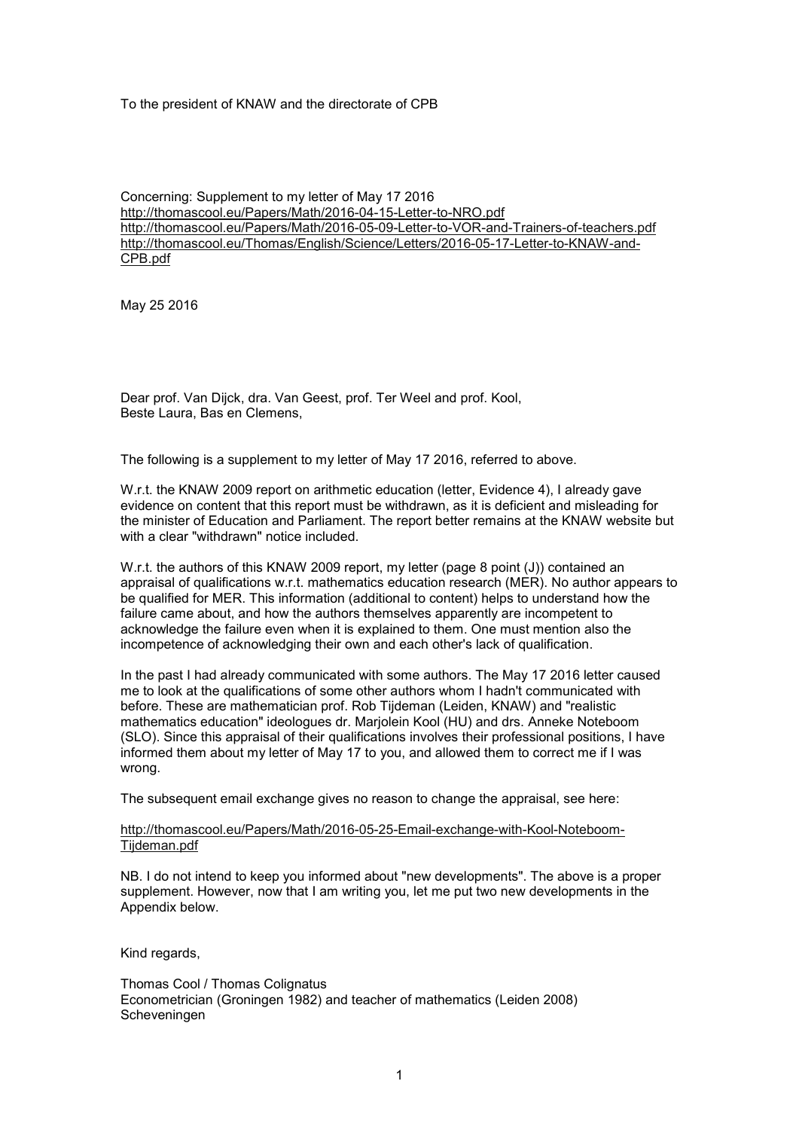To the president of KNAW and the directorate of CPB

Concerning: Supplement to my letter of May 17 2016 http://thomascool.eu/Papers/Math/2016-04-15-Letter-to-NRO.pdf http://thomascool.eu/Papers/Math/2016-05-09-Letter-to-VOR-and-Trainers-of-teachers.pdf http://thomascool.eu/Thomas/English/Science/Letters/2016-05-17-Letter-to-KNAW-and-CPB.pdf

May 25 2016

Dear prof. Van Dijck, dra. Van Geest, prof. Ter Weel and prof. Kool, Beste Laura, Bas en Clemens,

The following is a supplement to my letter of May 17 2016, referred to above.

W.r.t. the KNAW 2009 report on arithmetic education (letter, Evidence 4), I already gave evidence on content that this report must be withdrawn, as it is deficient and misleading for the minister of Education and Parliament. The report better remains at the KNAW website but with a clear "withdrawn" notice included.

W.r.t. the authors of this KNAW 2009 report, my letter (page 8 point (J)) contained an appraisal of qualifications w.r.t. mathematics education research (MER). No author appears to be qualified for MER. This information (additional to content) helps to understand how the failure came about, and how the authors themselves apparently are incompetent to acknowledge the failure even when it is explained to them. One must mention also the incompetence of acknowledging their own and each other's lack of qualification.

In the past I had already communicated with some authors. The May 17 2016 letter caused me to look at the qualifications of some other authors whom I hadn't communicated with before. These are mathematician prof. Rob Tijdeman (Leiden, KNAW) and "realistic mathematics education" ideologues dr. Marjolein Kool (HU) and drs. Anneke Noteboom (SLO). Since this appraisal of their qualifications involves their professional positions, I have informed them about my letter of May 17 to you, and allowed them to correct me if I was wrong.

The subsequent email exchange gives no reason to change the appraisal, see here:

## http://thomascool.eu/Papers/Math/2016-05-25-Email-exchange-with-Kool-Noteboom-Tijdeman.pdf

NB. I do not intend to keep you informed about "new developments". The above is a proper supplement. However, now that I am writing you, let me put two new developments in the Appendix below.

Kind regards,

Thomas Cool / Thomas Colignatus Econometrician (Groningen 1982) and teacher of mathematics (Leiden 2008) Scheveningen